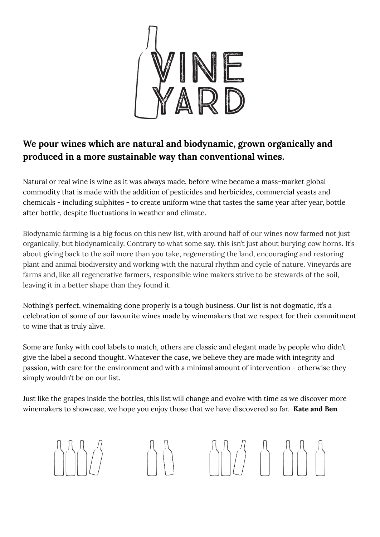

## **We pour wines which are natural and biodynamic, grown organically and produced in a more sustainable way than conventional wines.**

Natural or real wine is wine as it was always made, before wine became a mass-market global commodity that is made with the addition of pesticides and herbicides, commercial yeasts and chemicals - including sulphites - to create uniform wine that tastes the same year after year, bottle after bottle, despite fluctuations in weather and climate.

Biodynamic farming is a big focus on this new list, with around half of our wines now farmed not just organically, but biodynamically. Contrary to what some say, this isn't just about burying cow horns. It's about giving back to the soil more than you take, regenerating the land, encouraging and restoring plant and animal biodiversity and working with the natural rhythm and cycle of nature. Vineyards are farms and, like all regenerative farmers, responsible wine makers strive to be stewards of the soil, leaving it in a better shape than they found it.

Nothing's perfect, winemaking done properly is a tough business. Our list is not dogmatic, it's a celebration of some of our favourite wines made by winemakers that we respect for their commitment to wine that is truly alive.

Some are funky with cool labels to match, others are classic and elegant made by people who didn't give the label a second thought. Whatever the case, we believe they are made with integrity and passion, with care for the environment and with a minimal amount of intervention - otherwise they simply wouldn't be on our list.

Just like the grapes inside the bottles, this list will change and evolve with time as we discover more winemakers to showcase, we hope you enjoy those that we have discovered so far. **Kate and Ben**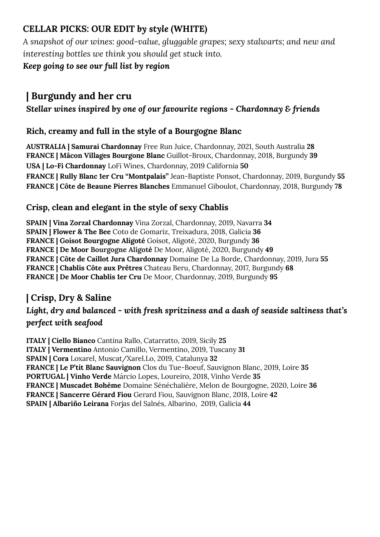## **CELLAR PICKS: OUR EDIT** *by style* **(WHITE)**

*A snapshot of our wines: good-value, gluggable grapes; sexy stalwarts; and new and interesting bottles we think you should get stuck into.*

### *Keep going to see our full list by region*

# **| Burgundy and her cru**

## *Stellar wines inspired by one of our favourite regions - Chardonnay & friends*

### **Rich, creamy and full in the style of a Bourgogne Blanc**

**AUSTRALIA | Samurai Chardonnay** Free Run Juice, Chardonnay, 2021, South Australia **28 FRANCE | Mâcon Villages Bourgone Blanc** Guillot-Broux, Chardonnay, 2018, Burgundy **39 USA | Lo-Fi Chardonnay** LoFi Wines, Chardonnay, 2019 California **50 FRANCE | Rully Blanc 1er Cru "Montpalais"** Jean-Baptiste Ponsot, Chardonnay, 2019, Burgundy **55 FRANCE | Côte de Beaune Pierres Blanches** Emmanuel Giboulot, Chardonnay, 2018, Burgundy **78**

### **Crisp, clean and elegant in the style of sexy Chablis**

**SPAIN | Vina Zorzal Chardonnay** Vina Zorzal, Chardonnay, 2019, Navarra **34 SPAIN | Flower & The Bee** Coto de Gomariz, Treixadura, 2018, Galicia **36 FRANCE | Goisot Bourgogne Aligoté** Goisot, Aligoté, 2020, Burgundy **36 FRANCE | De Moor Bourgogne Aligoté** De Moor, Aligoté, 2020, Burgundy **49 FRANCE | Côte de Caillot Jura Chardonnay** Domaine De La Borde, Chardonnay, 2019, Jura **55 FRANCE | Chablis Côte aux Prêtres** Chateau Beru, Chardonnay, 2017, Burgundy **68 FRANCE | De Moor Chablis 1er Cru** De Moor, Chardonnay, 2019, Burgundy **95**

## **| Crisp, Dry & Saline**

### *Light, dry and balanced - with fresh spritziness and a dash of seaside saltiness that's perfect with seafood*

**ITALY | Ciello Bianco** Cantina Rallo, Catarratto, 2019, Sicily **25 ITALY | Vermentino** Antonio Camillo, Vermentino, 2019, Tuscany **31 SPAIN | Cora** Loxarel, Muscat/Xarel.Lo, 2019, Catalunya **32 FRANCE | Le P'tit Blanc Sauvignon** Clos du Tue-Boeuf, Sauvignon Blanc, 2019, Loire **35 PORTUGAL | Vinho Verde** Márcio Lopes, Loureiro, 2018, Vinho Verde **35 FRANCE | Muscadet Bohème** Domaine Sénéchalière, Melon de Bourgogne, 2020, Loire **36 FRANCE | Sancerre Gérard Fiou** Gerard Fiou, Sauvignon Blanc, 2018, Loire **42 SPAIN | Albariño Leirana** Forjas del Salnés, Albarino, 2019, Galicia **44**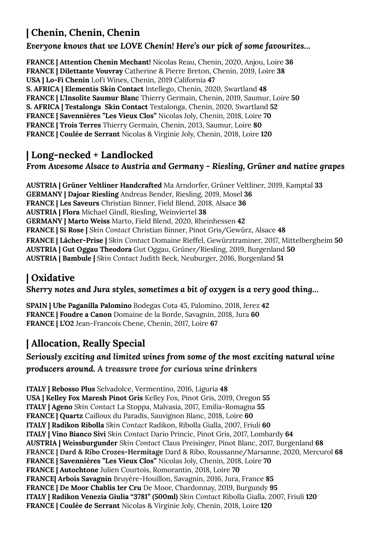# **| Chenin, Chenin, Chenin**

#### *Everyone knows that we LOVE Chenin! Here's our pick of some favourites…*

**FRANCE | Attention Chenin Mechant!** Nicolas Reau, Chenin, 2020, Anjou, Loire **36 FRANCE | Dilettante Vouvray** Catherine & Pierre Breton, Chenin, 2019, Loire **38 USA | Lo-Fi Chenin** LoFi Wines, Chenin, 2019 California **47 S. AFRICA | Elementis Skin Contact** Intellego, Chenin, 2020, Swartland **48 FRANCE | L'Insolite Saumur Blanc** Thierry Germain, Chenin, 2019, Saumur, Loire **50 S. AFRICA | Testalonga Skin Contact** Testalonga, Chenin, 2020, Swartland **52 FRANCE | Savennières "Les Vieux Clos"** Nicolas Joly, Chenin, 2018, Loire **70 FRANCE | Trois Terres** Thierry Germain, Chenin, 2013, Saumur, Loire **80 FRANCE | Coulée de Serrant** Nicolas & Virginie Joly, Chenin, 2018, Loire **120**

## **| Long-necked + Landlocked**

### *From Awesome Alsace to Austria and Germany - Riesling, Grüner and native grapes*

**AUSTRIA | Grüner Veltliner Handcrafted** Ma Arndorfer, Grüner Veltliner, 2019, Kamptal **33 GERMANY | Dajoar Riesling** Andreas Bender, Riesling, 2019, Mosel **36 FRANCE | Les Saveurs** Christian Binner, Field Blend, 2018, Alsace **36 AUSTRIA | Flora** Michael Gindl, Riesling, Weinviertel **38 GERMANY | Marto Weiss** Marto, Field Blend, 2020, Rheinhessen **42 FRANCE | Si Rose |** *Skin Contact* Christian Binner, Pinot Gris/Gewürz, Alsace **48 FRANCE | Lâcher-Prise |** *Skin Contact* Domaine Rieffel, Gewürztraminer, 2017, Mittelbergheim **50 AUSTRIA | Gut Oggau Theodora** Gut Oggau, Grüner/Riesling, 2019, Burgenland **50 AUSTRIA | Bambule |** *Skin Contact* Judith Beck, Neuburger, 2016, Burgenland **51**

# **| Oxidative**

#### *Sherry notes and Jura styles, sometimes a bit of oxygen is a very good thing…*

**SPAIN | Ube Paganilla Palomino** Bodegas Cota 45, Palomino, 2018, Jerez **42 FRANCE | Foudre a Canon** Domaine de la Borde, Savagnin, 2018, Jura **60 FRANCE | L'O2** Jean-Francois Chene, Chenin, 2017, Loire **67**

# **| Allocation, Really Special**

### *Seriously exciting and limited wines from some of the most exciting natural wine producers around. A treasure trove for curious wine drinkers*

**ITALY | Rebosso Plus** Selvadolce, Vermentino, 2016, Liguria **48 USA | Kelley Fox Maresh Pinot Gris** Kelley Fox, Pinot Gris, 2019, Oregon **55 ITALY | Ageno** *Skin Contact* La Stoppa, Malvasia, 2017, Emilia-Romagna **55 FRANCE | Quartz** Cailloux du Paradis, Sauvignon Blanc, 2018, Loire **60 ITALY | Radikon Ribolla** *Skin Contact* Radikon, Ribolla Gialla, 2007, Friuli **60 ITALY | Vino Bianco Sivi** *Skin Contact* Dario Princic, Pinot Gris, 2017, Lombardy **64 AUSTRIA | Weissburgunder** *Skin Contact* Claus Preisinger, Pinot Blanc, 2017, Burgenland **68 FRANCE | Dard & Ribo Crozes-Hermitage** Dard & Ribo, Roussanne/Marsanne, 2020, Mercurol **68 FRANCE | Savennières "Les Vieux Clos"** Nicolas Joly, Chenin, 2018, Loire **70 FRANCE | Autochtone** Julien Courtois, Romorantin, 2018, Loire **70 FRANCE| Arbois Savagnin** Bruyère-Houillon, Savagnin, 2016, Jura, France **85 FRANCE | De Moor Chablis 1er Cru** De Moor, Chardonnay, 2019, Burgundy **95 ITALY | Radikon Venezia Giulia "3781" (500ml)** *Skin Contact* Ribolla Gialla, 2007, Friuli **120 FRANCE | Coulée de Serrant** Nicolas & Virginie Joly, Chenin, 2018, Loire **120**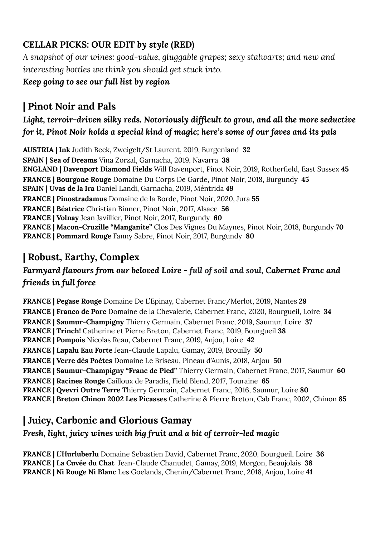## **CELLAR PICKS: OUR EDIT** *by style* **(RED)**

*A snapshot of our wines: good-value, gluggable grapes; sexy stalwarts; and new and interesting bottles we think you should get stuck into.*

*Keep going to see our full list by region*

# **| Pinot Noir and Pals**

*Light, terroir-driven silky reds. Notoriously difficult to grow, and all the more seductive for it, Pinot Noir holds a special kind of magic; here's some of our faves and its pals*

**AUSTRIA | Ink** Judith Beck, Zweigelt/St Laurent, 2019, Burgenland **32 SPAIN | Sea of Dreams** Vina Zorzal, Garnacha, 2019, Navarra **38 ENGLAND | Davenport Diamond Fields** Will Davenport, Pinot Noir, 2019, Rotherfield, East Sussex **45 FRANCE | Bourgone Rouge** Domaine Du Corps De Garde, Pinot Noir, 2018, Burgundy **45 SPAIN | Uvas de la Ira** Daniel Landi, Garnacha, 2019, Méntrida **49 FRANCE | Pinostradamus** Domaine de la Borde, Pinot Noir, 2020, Jura **55 FRANCE | Béatrice** Christian Binner, Pinot Noir, 2017, Alsace **56 FRANCE | Volnay** Jean Javillier, Pinot Noir, 2017, Burgundy **60 FRANCE | Macon-Cruzille "Manganite"** Clos Des Vignes Du Maynes, Pinot Noir, 2018, Burgundy **70 FRANCE | Pommard Rouge** Fanny Sabre, Pinot Noir, 2017, Burgundy **80**

# **| Robust, Earthy, Complex**

## *Farmyard flavours from our beloved Loire - full of soil and soul, Cabernet Franc and friends in full force*

**FRANCE | Pegase Rouge** Domaine De L'Epinay, Cabernet Franc/Merlot, 2019, Nantes **29 FRANCE | Franco de Porc** Domaine de la Chevalerie, Cabernet Franc, 2020, Bourgueil, Loire **34 FRANCE | Saumur-Champigny** Thierry Germain, Cabernet Franc, 2019, Saumur, Loire **37 FRANCE | Trinch!** Catherine et Pierre Breton, Cabernet Franc, 2019, Bourgueil **38 FRANCE | Pompois** Nicolas Reau, Cabernet Franc, 2019, Anjou, Loire **42 FRANCE | Lapalu Eau Forte** Jean-Claude Lapalu, Gamay, 2019, Brouilly **50 FRANCE | Verre dès Poѐtes** Domaine Le Briseau, Pineau d'Aunis, 2018, Anjou **50 FRANCE | Saumur-Champigny "Franc de Pied"** Thierry Germain, Cabernet Franc, 2017, Saumur **60 FRANCE | Racines Rouge** Cailloux de Paradis, Field Blend, 2017, Touraine **65 FRANCE | Qvevri Outre Terre** Thierry Germain, Cabernet Franc, 2016, Saumur, Loire **80 FRANCE | Breton Chinon 2002 Les Picasses** Catherine & Pierre Breton, Cab Franc, 2002, Chinon **85**

# **| Juicy, Carbonic and Glorious Gamay**

## *Fresh, light, juicy wines with big fruit and a bit of terroir-led magic*

**FRANCE | L'Hurluberlu** Domaine Sebastien David, Cabernet Franc, 2020, Bourgueil, Loire **36 FRANCE | La Cuvée du Chat** Jean-Claude Chanudet, Gamay, 2019, Morgon, Beaujolais **38 FRANCE | Ni Rouge Ni Blanc** Les Goelands, Chenin/Cabernet Franc, 2018, Anjou, Loire **41**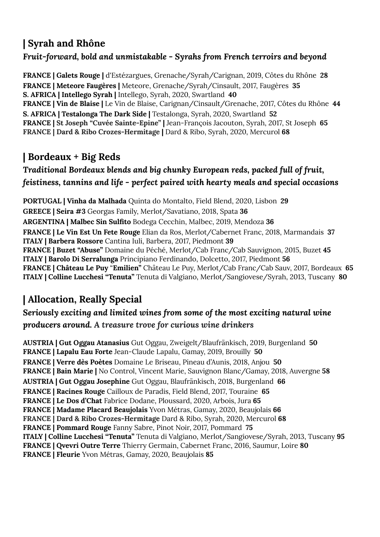# **| Syrah and Rhône**

### *Fruit-forward, bold and unmistakable - Syrahs from French terroirs and beyond*

**FRANCE | Galets Rouge |** d'Estézargues, Grenache/Syrah/Carignan, 2019, Côtes du Rhône **28 FRANCE | Meteore Faugères |** Meteore, Grenache/Syrah/Cinsault, 2017, Faugères **35 S. AFRICA | Intellego Syrah |** Intellego, Syrah, 2020, Swartland **40 FRANCE | Vin de Blaise |** Le Vin de Blaise, Carignan/Cinsault/Grenache, 2017, Côtes du Rhône **44 S. AFRICA | Testalonga The Dark Side |** Testalonga, Syrah, 2020, Swartland **52 FRANCE | St Joseph "Cuvée Sainte-Epine" |** Jean-François Jacouton, Syrah, 2017, St Joseph **65 FRANCE | Dard & Ribo Crozes-Hermitage |** Dard & Ribo, Syrah, 2020, Mercurol **68**

# **| Bordeaux + Big Reds**

## *Traditional Bordeaux blends and big chunky European reds, packed full of fruit, feistiness, tannins and life - perfect paired with hearty meals and special occasions*

**PORTUGAL | Vinha da Malhada** Quinta do Montalto, Field Blend, 2020, Lisbon **29 GREECE | Seira #3** Georgas Family, Merlot/Savatiano, 2018, Spata **36 ARGENTINA | Malbec Sin Sulfito** Bodega Cecchin, Malbec, 2019, Mendoza **36 FRANCE | Le Vin Est Un Fete Rouge** Elian da Ros, Merlot/Cabernet Franc, 2018, Marmandais **37 ITALY | Barbera Rossore** Cantina Iuli, Barbera, 2017, Piedmont **39 FRANCE | Buzet "Abuse"** Domaine du Péché, Merlot/Cab Franc/Cab Sauvignon, 2015, Buzet **45 ITALY | Barolo Di Serralunga** Principiano Ferdinando, Dolcetto, 2017, Piedmont **56 FRANCE | Château Le Puy** "**Emilien"** Château Le Puy, Merlot/Cab Franc/Cab Sauv, 2017, Bordeaux **65 ITALY | Colline Lucchesi "Tenuta"** Tenuta di Valgiano, Merlot/Sangiovese/Syrah, 2013, Tuscany **80**

# **| Allocation, Really Special**

### *Seriously exciting and limited wines from some of the most exciting natural wine producers around. A treasure trove for curious wine drinkers*

**AUSTRIA | Gut Oggau Atanasius** Gut Oggau, Zweigelt/Blaufränkisch, 2019, Burgenland **50 FRANCE | Lapalu Eau Forte** Jean-Claude Lapalu, Gamay, 2019, Brouilly **50 FRANCE | Verre dès Poѐtes** Domaine Le Briseau, Pineau d'Aunis, 2018, Anjou **50 FRANCE | Bain Marie |** No Control, Vincent Marie, Sauvignon Blanc/Gamay, 2018, Auvergne **58 AUSTRIA | Gut Oggau Josephine** Gut Oggau, Blaufränkisch, 2018, Burgenland **66 FRANCE | Racines Rouge** Cailloux de Paradis, Field Blend, 2017, Touraine **65 FRANCE | Le Dos d'Chat** Fabrice Dodane, Ploussard, 2020, Arbois, Jura **65 FRANCE | Madame Placard Beaujolais** Yvon Métras, Gamay, 2020, Beaujolais **66 FRANCE | Dard & Ribo Crozes-Hermitage** Dard & Ribo, Syrah, 2020, Mercurol **68 FRANCE | Pommard Rouge** Fanny Sabre, Pinot Noir, 2017, Pommard **75 ITALY | Colline Lucchesi "Tenuta"** Tenuta di Valgiano, Merlot/Sangiovese/Syrah, 2013, Tuscany **95 FRANCE | Qvevri Outre Terre** Thierry Germain, Cabernet Franc, 2016, Saumur, Loire **80 FRANCE | Fleurie** Yvon Métras, Gamay, 2020, Beaujolais **85**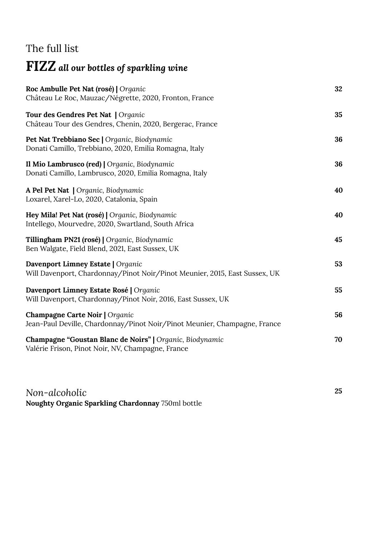# The full list

# **FIZZ** *all our bottles of sparkling wine*

| 32 |
|----|
| 35 |
| 36 |
| 36 |
| 40 |
| 40 |
| 45 |
| 53 |
| 55 |
| 56 |
| 70 |
|    |
|    |

**25**

*Non-alcoholic* **Noughty Organic Sparkling Chardonnay** 750ml bottle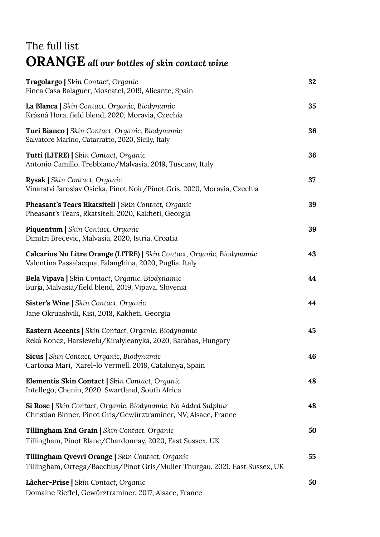# The full list **ORANGE** *all our bottles of skin contact wine*

| Tragolargo   Skin Contact, Organic<br>Finca Casa Balaguer, Moscatel, 2019, Alicante, Spain                                       | 32 |
|----------------------------------------------------------------------------------------------------------------------------------|----|
| La Blanca   Skin Contact, Organic, Biodynamic<br>Krásná Hora, field blend, 2020, Moravia, Czechia                                | 35 |
| Turi Bianco   Skin Contact, Organic, Biodynamic<br>Salvatore Marino, Catarratto, 2020, Sicily, Italy                             | 36 |
| Tutti (LITRE)   Skin Contact, Organic<br>Antonio Camillo, Trebbiano/Malvasia, 2019, Tuscany, Italy                               | 36 |
| Rysak   Skin Contact, Organic<br>Vinarstvi Jaroslav Osicka, Pinot Noir/Pinot Gris, 2020, Moravia, Czechia                        | 37 |
| Pheasant's Tears Rkatsiteli   Skin Contact, Organic<br>Pheasant's Tears, Rkatsiteli, 2020, Kakheti, Georgia                      | 39 |
| <b>Piquentum   Skin Contact, Organic</b><br>Dimitri Brecevic, Malvasia, 2020, Istria, Croatia                                    | 39 |
| Calcarius Nu Litre Orange (LITRE)   Skin Contact, Organic, Biodynamic<br>Valentina Passalacqua, Falanghina, 2020, Puglia, Italy  | 43 |
| Bela Vipava   Skin Contact, Organic, Biodynamic<br>Burja, Malvasia/field blend, 2019, Vipava, Slovenia                           | 44 |
| Sister's Wine   Skin Contact, Organic<br>Jane Okruashvili, Kisi, 2018, Kakheti, Georgia                                          | 44 |
| Eastern Accents   Skin Contact, Organic, Biodynamic<br>Reká Koncz, Harslevelu/Kiralyleanyka, 2020, Barábas, Hungary              | 45 |
| Sicus   Skin Contact, Organic, Biodynamic<br>Cartoixa Mari, Xarel-lo Vermell, 2018, Catalunya, Spain                             | 46 |
| Elementis Skin Contact   Skin Contact, Organic<br>Intellego, Chenin, 2020, Swartland, South Africa                               | 48 |
| Si Rose   Skin Contact, Organic, Biodynamic, No Added Sulphur<br>Christian Binner, Pinot Gris/Gewürztraminer, NV, Alsace, France | 48 |
| Tillingham End Grain   Skin Contact, Organic<br>Tillingham, Pinot Blanc/Chardonnay, 2020, East Sussex, UK                        | 50 |
| Tillingham Qvevri Orange   Skin Contact, Organic<br>Tillingham, Ortega/Bacchus/Pinot Gris/Muller Thurgau, 2021, East Sussex, UK  | 55 |
| Lâcher-Prise   Skin Contact, Organic<br>Domaine Rieffel, Gewürztraminer, 2017, Alsace, France                                    | 50 |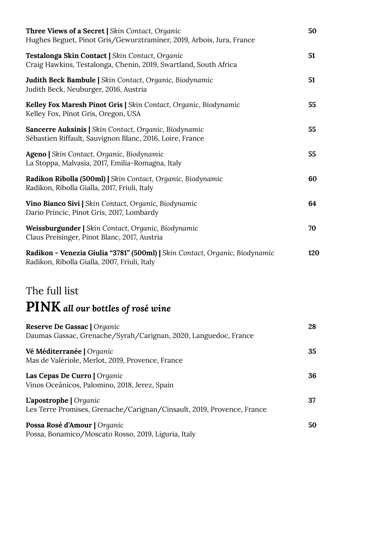| <b>Three Views of a Secret   Skin Contact, Organic</b><br>Hughes Beguet, Pinot Gris/Gewurztraminer, 2019, Arbois, Jura, France | 50  |
|--------------------------------------------------------------------------------------------------------------------------------|-----|
| Testalonga Skin Contact   Skin Contact, Organic<br>Craig Hawkins, Testalonga, Chenin, 2019, Swartland, South Africa            | 51  |
| Judith Beck Bambule   Skin Contact, Organic, Biodynamic<br>Judith Beck, Neuburger, 2016, Austria                               | 51  |
| Kelley Fox Maresh Pinot Gris   Skin Contact, Organic, Biodynamic<br>Kelley Fox, Pinot Gris, Oregon, USA                        | 55  |
| Sancerre Auksinis   Skin Contact, Organic, Biodynamic<br>Sébastien Riffault, Sauvignon Blanc, 2016, Loire, France              | 55  |
| Ageno   Skin Contact, Organic, Biodynamic<br>La Stoppa, Malvasia, 2017, Emilia-Romagna, Italy                                  | 55  |
| Radikon Ribolla (500ml)   Skin Contact, Organic, Biodynamic<br>Radikon, Ribolla Gialla, 2017, Friuli, Italy                    | 60  |
| Vino Bianco Sivi   Skin Contact, Organic, Biodynamic<br>Dario Princic, Pinot Gris, 2017, Lombardy                              | 64  |
| Weissburgunder   Skin Contact, Organic, Biodynamic<br>Claus Preisinger, Pinot Blanc, 2017, Austria                             | 70  |
| Radikon - Venezia Giulia "3781" (500ml)   Skin Contact, Organic, Biodynamic<br>Radikon, Ribolla Gialla, 2007, Friuli, Italy    | 120 |

# The full list **PINK** *all our bottles of rosé wine*

| Reserve De Gassac   Organic<br>Daumas Gassac, Grenache/Syrah/Carignan, 2020, Languedoc, France   | 28 |
|--------------------------------------------------------------------------------------------------|----|
| Vé Méditerranée   Organic<br>Mas de Valériole, Merlot, 2019, Provence, France                    | 35 |
| Las Cepas De Curro   Organic<br>Vinos Oceânicos, Palomino, 2018, Jerez, Spain                    | 36 |
| L'apostrophe   Organic<br>Les Terre Promises, Grenache/Carignan/Cinsault, 2019, Provence, France | 37 |
| Possa Rosé d'Amour   Organic<br>Possa, Bonamico/Moscato Rosso, 2019, Liguria, Italy              | 50 |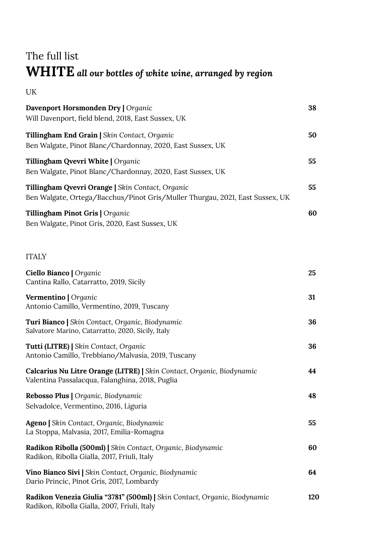# The full list **WHITE** *all our bottles of white wine, arranged by region*

**38**

**50**

**55**

**55**

**60**

# UK **Davenport Horsmonden Dry |** *Organic* Will Davenport, field blend, 2018, East Sussex, UK **Tillingham End Grain |** *Skin Contact, Organic* Ben Walgate, Pinot Blanc/Chardonnay, 2020, East Sussex, UK **Tillingham Qvevri White |** *Organic* Ben Walgate, Pinot Blanc/Chardonnay, 2020, East Sussex, UK **Tillingham Qvevri Orange |** *Skin Contact, Organic* Ben Walgate, Ortega/Bacchus/Pinot Gris/Muller Thurgau, 2021, East Sussex, UK **Tillingham Pinot Gris |** *Organic* Ben Walgate, Pinot Gris, 2020, East Sussex, UK ITALY

| Ciello Bianco   Organic<br>Cantina Rallo, Catarratto, 2019, Sicily                                                        | 25  |
|---------------------------------------------------------------------------------------------------------------------------|-----|
| Vermentino   Organic<br>Antonio Camillo, Vermentino, 2019, Tuscany                                                        | 31  |
| Turi Bianco   Skin Contact, Organic, Biodynamic<br>Salvatore Marino, Catarratto, 2020, Sicily, Italy                      | 36  |
| Tutti (LITRE)   Skin Contact, Organic<br>Antonio Camillo, Trebbiano/Malvasia, 2019, Tuscany                               | 36  |
| Calcarius Nu Litre Orange (LITRE)   Skin Contact, Organic, Biodynamic<br>Valentina Passalacqua, Falanghina, 2018, Puglia  | 44  |
| Rebosso Plus   Organic, Biodynamic<br>Selvadolce, Vermentino, 2016, Liguria                                               | 48  |
| Ageno   Skin Contact, Organic, Biodynamic<br>La Stoppa, Malvasia, 2017, Emilia-Romagna                                    | 55  |
| Radikon Ribolla (500ml)   Skin Contact, Organic, Biodynamic<br>Radikon, Ribolla Gialla, 2017, Friuli, Italy               | 60  |
| Vino Bianco Sivi   Skin Contact, Organic, Biodynamic<br>Dario Princic, Pinot Gris, 2017, Lombardy                         | 64  |
| Radikon Venezia Giulia "3781" (500ml)   Skin Contact, Organic, Biodynamic<br>Radikon, Ribolla Gialla, 2007, Friuli, Italy | 120 |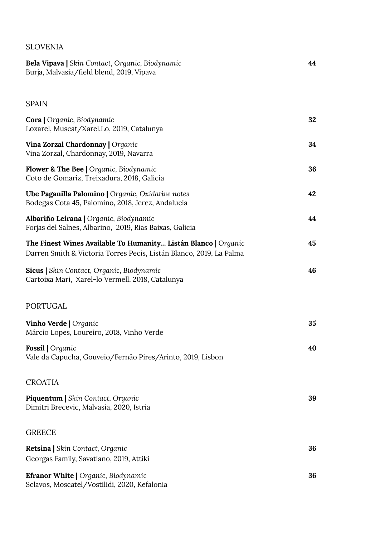#### SLOVENIA

| Bela Vipava   Skin Contact, Organic, Biodynamic<br>Burja, Malvasia/field blend, 2019, Vipava                                          | 44 |
|---------------------------------------------------------------------------------------------------------------------------------------|----|
| <b>SPAIN</b>                                                                                                                          |    |
| Cora   Organic, Biodynamic<br>Loxarel, Muscat/Xarel.Lo, 2019, Catalunya                                                               | 32 |
| Vina Zorzal Chardonnay   Organic<br>Vina Zorzal, Chardonnay, 2019, Navarra                                                            | 34 |
| <b>Flower &amp; The Bee   Organic, Biodynamic</b><br>Coto de Gomariz, Treixadura, 2018, Galicia                                       | 36 |
| Ube Paganilla Palomino   Organic, Oxidative notes<br>Bodegas Cota 45, Palomino, 2018, Jerez, Andalucia                                | 42 |
| Albariño Leirana   Organic, Biodynamic<br>Forjas del Salnes, Albarino, 2019, Rias Baixas, Galicia                                     | 44 |
| The Finest Wines Available To Humanity Listán Blanco   Organic<br>Darren Smith & Victoria Torres Pecis, Listán Blanco, 2019, La Palma | 45 |
| Sicus   Skin Contact, Organic, Biodynamic<br>Cartoixa Mari, Xarel-lo Vermell, 2018, Catalunya                                         | 46 |
| <b>PORTUGAL</b>                                                                                                                       |    |
| <b>Vinho Verde</b>   Organic<br>Márcio Lopes, Loureiro, 2018, Vinho Verde                                                             | 35 |
| Fossil   Organic<br>Vale da Capucha, Gouveio/Fernão Pires/Arinto, 2019, Lisbon                                                        | 40 |
| <b>CROATIA</b>                                                                                                                        |    |
| <b>Piquentum   Skin Contact, Organic</b><br>Dimitri Brecevic, Malvasia, 2020, Istria                                                  | 39 |
| <b>GREECE</b>                                                                                                                         |    |
| <b>Retsina</b>   Skin Contact, Organic<br>Georgas Family, Savatiano, 2019, Attiki                                                     | 36 |
| Efranor White   Organic, Biodynamic<br>Sclavos, Moscatel/Vostilidi, 2020, Kefalonia                                                   | 36 |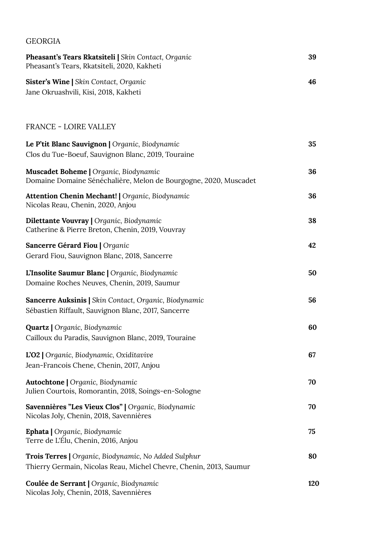| <b>GEORGIA</b>                                                                                                                    |     |
|-----------------------------------------------------------------------------------------------------------------------------------|-----|
| Pheasant's Tears Rkatsiteli   Skin Contact, Organic<br>Pheasant's Tears, Rkatsiteli, 2020, Kakheti                                | 39  |
| <b>Sister's Wine   Skin Contact, Organic</b><br>Jane Okruashvili, Kisi, 2018, Kakheti                                             | 46  |
| <b>FRANCE - LOIRE VALLEY</b>                                                                                                      |     |
| Le P'tit Blanc Sauvignon   Organic, Biodynamic<br>Clos du Tue-Boeuf, Sauvignon Blanc, 2019, Touraine                              | 35  |
| Muscadet Boheme   Organic, Biodynamic<br>Domaine Domaine Sénéchalière, Melon de Bourgogne, 2020, Muscadet                         | 36  |
| <b>Attention Chenin Mechant!   Organic, Biodynamic</b><br>Nicolas Reau, Chenin, 2020, Anjou                                       | 36  |
| Dilettante Vouvray   Organic, Biodynamic<br>Catherine & Pierre Breton, Chenin, 2019, Vouvray                                      | 38  |
| Sancerre Gérard Fiou   Organic<br>Gerard Fiou, Sauvignon Blanc, 2018, Sancerre                                                    | 42  |
| L'Insolite Saumur Blanc   Organic, Biodynamic<br>Domaine Roches Neuves, Chenin, 2019, Saumur                                      | 50  |
| Sancerre Auksinis   Skin Contact, Organic, Biodynamic<br>Sébastien Riffault, Sauvignon Blanc, 2017, Sancerre                      | 56  |
| <b>Quartz</b>   Organic, Biodynamic<br>Cailloux du Paradis, Sauvignon Blanc, 2019, Touraine                                       | 60  |
| L'O2   Organic, Biodynamic, Oxiditavive<br>Jean-Francois Chene, Chenin, 2017, Anjou                                               | 67  |
| <b>Autochtone</b>   Organic, Biodynamic<br>Julien Courtois, Romorantin, 2018, Soings-en-Sologne                                   | 70  |
| Savennières "Les Vieux Clos"   Organic, Biodynamic<br>Nicolas Joly, Chenin, 2018, Savennières                                     | 70  |
| Ephata   Organic, Biodynamic<br>Terre de L'Élu, Chenin, 2016, Anjou                                                               | 75  |
| <b>Trois Terres</b>   Organic, Biodynamic, No Added Sulphur<br>Thierry Germain, Nicolas Reau, Michel Chevre, Chenin, 2013, Saumur | 80  |
| Coulée de Serrant   Organic, Biodynamic<br>Nicolas Joly, Chenin, 2018, Savennières                                                | 120 |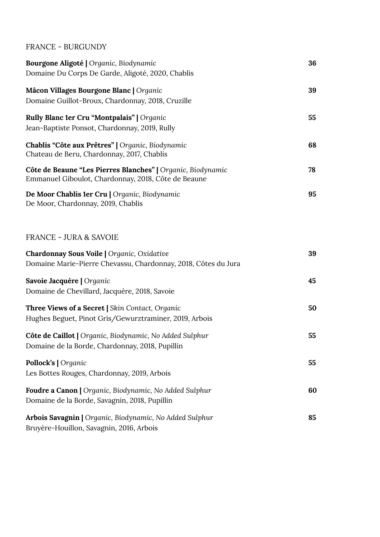#### FRANCE - BURGUNDY

| Bourgone Aligoté   Organic, Biodynamic<br>Domaine Du Corps De Garde, Aligoté, 2020, Chablis                         | 36 |
|---------------------------------------------------------------------------------------------------------------------|----|
| Mâcon Villages Bourgone Blanc   Organic<br>Domaine Guillot-Broux, Chardonnay, 2018, Cruzille                        | 39 |
| Rully Blanc 1er Cru "Montpalais"   Organic<br>Jean-Baptiste Ponsot, Chardonnay, 2019, Rully                         | 55 |
| Chablis "Côte aux Prêtres"   Organic, Biodynamic<br>Chateau de Beru, Chardonnay, 2017, Chablis                      | 68 |
| Côte de Beaune "Les Pierres Blanches"   Organic, Biodynamic<br>Emmanuel Giboulot, Chardonnay, 2018, Côte de Beaune  | 78 |
| De Moor Chablis 1er Cru   Organic, Biodynamic<br>De Moor, Chardonnay, 2019, Chablis                                 | 95 |
| <b>FRANCE - JURA &amp; SAVOIE</b>                                                                                   |    |
| <b>Chardonnay Sous Voile   Organic, Oxidative</b><br>Domaine Marie-Pierre Chevassu, Chardonnay, 2018, Côtes du Jura | 39 |
| Savoie Jacquère   Organic<br>Domaine de Chevillard, Jacquère, 2018, Savoie                                          | 45 |
| Three Views of a Secret   Skin Contact, Organic<br>Hughes Beguet, Pinot Gris/Gewurztraminer, 2019, Arbois           | 50 |
| Côte de Caillot   Organic, Biodynamic, No Added Sulphur<br>Domaine de la Borde, Chardonnay, 2018, Pupillin          | 55 |
| Pollock's   Organic<br>Les Bottes Rouges, Chardonnay, 2019, Arbois                                                  | 55 |
| Foudre a Canon   Organic, Biodynamic, No Added Sulphur<br>Domaine de la Borde, Savagnin, 2018, Pupillin             | 60 |
| Arbois Savagnin   Organic, Biodynamic, No Added Sulphur<br>Bruyère-Houillon, Savagnin, 2016, Arbois                 | 85 |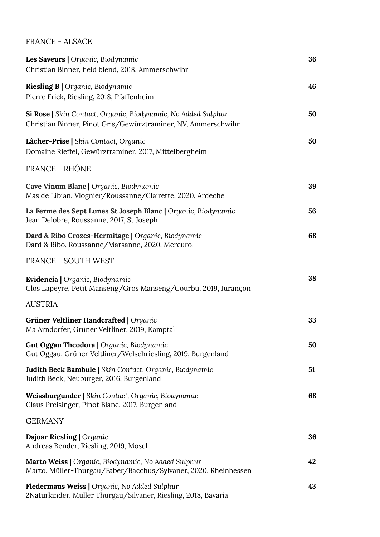FRANCE - ALSACE

| Les Saveurs   Organic, Biodynamic<br>Christian Binner, field blend, 2018, Ammerschwihr                                         | 36 |
|--------------------------------------------------------------------------------------------------------------------------------|----|
| Riesling B   Organic, Biodynamic<br>Pierre Frick, Riesling, 2018, Pfaffenheim                                                  | 46 |
| Si Rose   Skin Contact, Organic, Biodynamic, No Added Sulphur<br>Christian Binner, Pinot Gris/Gewürztraminer, NV, Ammerschwihr | 50 |
| Lâcher-Prise   Skin Contact, Organic<br>Domaine Rieffel, Gewürztraminer, 2017, Mittelbergheim                                  | 50 |
| FRANCE - RHÔNE                                                                                                                 |    |
| Cave Vinum Blanc   Organic, Biodynamic<br>Mas de Libian, Viognier/Roussanne/Clairette, 2020, Ardèche                           | 39 |
| La Ferme des Sept Lunes St Joseph Blanc   Organic, Biodynamic<br>Jean Delobre, Roussanne, 2017, St Joseph                      | 56 |
| Dard & Ribo Crozes-Hermitage   Organic, Biodynamic<br>Dard & Ribo, Roussanne/Marsanne, 2020, Mercurol                          | 68 |
| <b>FRANCE - SOUTH WEST</b>                                                                                                     |    |
| Evidencia   Organic, Biodynamic<br>Clos Lapeyre, Petit Manseng/Gros Manseng/Courbu, 2019, Jurançon                             | 38 |
| <b>AUSTRIA</b>                                                                                                                 |    |
| Grüner Veltliner Handcrafted   Organic<br>Ma Arndorfer, Grüner Veltliner, 2019, Kamptal                                        | 33 |
| <b>Gut Oggau Theodora   Organic, Biodynamic</b><br>Gut Oggau, Grüner Veltliner/Welschriesling, 2019, Burgenland                | 50 |
| Judith Beck Bambule   Skin Contact, Organic, Biodynamic<br>Judith Beck, Neuburger, 2016, Burgenland                            | 51 |
| Weissburgunder   Skin Contact, Organic, Biodynamic<br>Claus Preisinger, Pinot Blanc, 2017, Burgenland                          | 68 |
| <b>GERMANY</b>                                                                                                                 |    |
| Dajoar Riesling   Organic<br>Andreas Bender, Riesling, 2019, Mosel                                                             | 36 |
| Marto Weiss   Organic, Biodynamic, No Added Sulphur<br>Marto, Müller-Thurgau/Faber/Bacchus/Sylvaner, 2020, Rheinhessen         | 42 |
| Fledermaus Weiss   Organic, No Added Sulphur<br>2Naturkinder, Muller Thurgau/Silvaner, Riesling, 2018, Bavaria                 | 43 |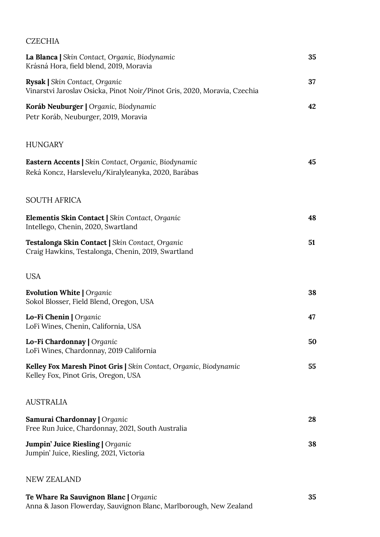#### **CZECHIA**

| La Blanca   Skin Contact, Organic, Biodynamic<br>Krásná Hora, field blend, 2019, Moravia                          | 35 |
|-------------------------------------------------------------------------------------------------------------------|----|
| <b>Rysak   Skin Contact, Organic</b><br>Vinarstvi Jaroslav Osicka, Pinot Noir/Pinot Gris, 2020, Moravia, Czechia  | 37 |
| Koráb Neuburger   Organic, Biodynamic<br>Petr Koráb, Neuburger, 2019, Moravia                                     | 42 |
| <b>HUNGARY</b>                                                                                                    |    |
| <b>Eastern Accents   Skin Contact, Organic, Biodynamic</b><br>Reká Koncz, Harslevelu/Kiralyleanyka, 2020, Barábas | 45 |
| <b>SOUTH AFRICA</b>                                                                                               |    |
| Elementis Skin Contact   Skin Contact, Organic<br>Intellego, Chenin, 2020, Swartland                              | 48 |
| Testalonga Skin Contact   Skin Contact, Organic<br>Craig Hawkins, Testalonga, Chenin, 2019, Swartland             | 51 |
| <b>USA</b>                                                                                                        |    |
| <b>Evolution White   Organic</b><br>Sokol Blosser, Field Blend, Oregon, USA                                       | 38 |
| Lo-Fi Chenin   Organic<br>LoFi Wines, Chenin, California, USA                                                     | 47 |
| Lo-Fi Chardonnay   Organic<br>LoFi Wines, Chardonnay, 2019 California                                             | 50 |
| Kelley Fox Maresh Pinot Gris   Skin Contact, Organic, Biodynamic<br>Kelley Fox, Pinot Gris, Oregon, USA           | 55 |
| <b>AUSTRALIA</b>                                                                                                  |    |
| Samurai Chardonnay   Organic<br>Free Run Juice, Chardonnay, 2021, South Australia                                 | 28 |
| <b>Jumpin' Juice Riesling   Organic</b><br>Jumpin' Juice, Riesling, 2021, Victoria                                | 38 |
|                                                                                                                   |    |

#### NEW ZEALAND

| <b>Te Whare Ra Sauvignon Blanc</b>   Organic                      | 35 |
|-------------------------------------------------------------------|----|
| Anna & Jason Flowerday, Sauvignon Blanc, Marlborough, New Zealand |    |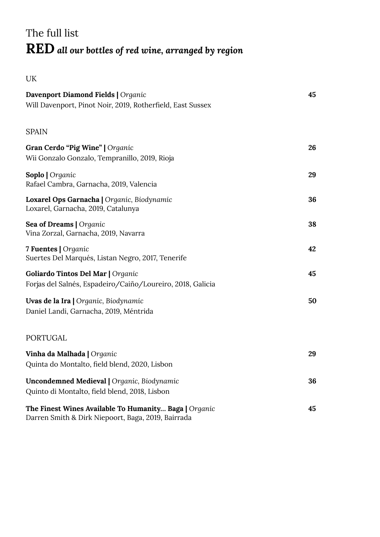# The full list **RED** *all our bottles of red wine, arranged by region*

UK

| Davenport Diamond Fields   Organic<br>Will Davenport, Pinot Noir, 2019, Rotherfield, East Sussex            | 45 |
|-------------------------------------------------------------------------------------------------------------|----|
| <b>SPAIN</b>                                                                                                |    |
| Gran Cerdo "Pig Wine"   Organic<br>Wii Gonzalo Gonzalo, Tempranillo, 2019, Rioja                            | 26 |
| Soplo   Organic<br>Rafael Cambra, Garnacha, 2019, Valencia                                                  | 29 |
| Loxarel Ops Garnacha   Organic, Biodynamic<br>Loxarel, Garnacha, 2019, Catalunya                            | 36 |
| Sea of Dreams   Organic<br>Vina Zorzal, Garnacha, 2019, Navarra                                             | 38 |
| 7 Fuentes   Organic<br>Suertes Del Marqués, Listan Negro, 2017, Tenerife                                    | 42 |
| Goliardo Tintos Del Mar   Organic<br>Forjas del Salnés, Espadeiro/Caiño/Loureiro, 2018, Galicia             | 45 |
| Uvas de la Ira   Organic, Biodynamic<br>Daniel Landi, Garnacha, 2019, Méntrida                              | 50 |
| <b>PORTUGAL</b>                                                                                             |    |
| Vinha da Malhada   Organic<br>Quinta do Montalto, field blend, 2020, Lisbon                                 | 29 |
| <b>Uncondemned Medieval   Organic, Biodynamic</b><br>Quinto di Montalto, field blend, 2018, Lisbon          | 36 |
| The Finest Wines Available To Humanity Baga   Organic<br>Darren Smith & Dirk Niepoort, Baga, 2019, Bairrada | 45 |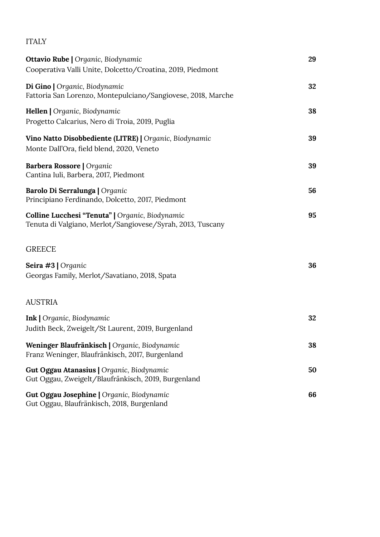#### ITALY

| <b>Ottavio Rube   Organic, Biodynamic</b><br>Cooperativa Valli Unite, Dolcetto/Croatina, 2019, Piedmont       | 29 |
|---------------------------------------------------------------------------------------------------------------|----|
| Di Gino   Organic, Biodynamic                                                                                 | 32 |
| Fattoria San Lorenzo, Montepulciano/Sangiovese, 2018, Marche                                                  |    |
| Hellen   Organic, Biodynamic<br>Progetto Calcarius, Nero di Troia, 2019, Puglia                               | 38 |
| Vino Natto Disobbediente (LITRE)   Organic, Biodynamic<br>Monte Dall'Ora, field blend, 2020, Veneto           | 39 |
| Barbera Rossore   Organic<br>Cantina Iuli, Barbera, 2017, Piedmont                                            | 39 |
| Barolo Di Serralunga   Organic<br>Principiano Ferdinando, Dolcetto, 2017, Piedmont                            | 56 |
| Colline Lucchesi "Tenuta"   Organic, Biodynamic<br>Tenuta di Valgiano, Merlot/Sangiovese/Syrah, 2013, Tuscany | 95 |
| <b>GREECE</b>                                                                                                 |    |
| Seira #3   Organic<br>Georgas Family, Merlot/Savatiano, 2018, Spata                                           | 36 |
| <b>AUSTRIA</b>                                                                                                |    |
| <b>Ink</b>   Organic, Biodynamic<br>Judith Beck, Zweigelt/St Laurent, 2019, Burgenland                        | 32 |
| Weninger Blaufränkisch   Organic, Biodynamic<br>Franz Weninger, Blaufränkisch, 2017, Burgenland               | 38 |
| Gut Oggau Atanasius   Organic, Biodynamic<br>Gut Oggau, Zweigelt/Blaufränkisch, 2019, Burgenland              | 50 |
| Gut Oggau Josephine   Organic, Biodynamic<br>Gut Oggau, Blaufränkisch, 2018, Burgenland                       | 66 |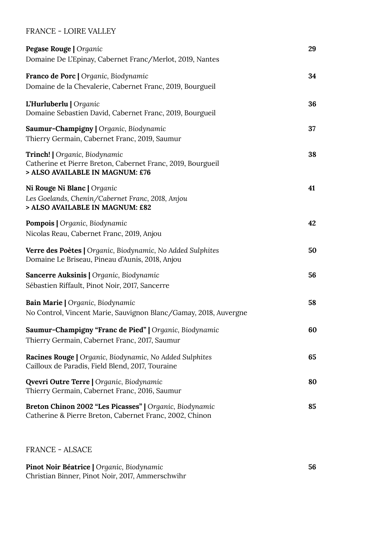#### FRANCE - LOIRE VALLEY

| Pegase Rouge   Organic<br>Domaine De L'Epinay, Cabernet Franc/Merlot, 2019, Nantes                                              | 29 |
|---------------------------------------------------------------------------------------------------------------------------------|----|
| Franco de Porc   Organic, Biodynamic<br>Domaine de la Chevalerie, Cabernet Franc, 2019, Bourgueil                               | 34 |
| L'Hurluberlu   Organic<br>Domaine Sebastien David, Cabernet Franc, 2019, Bourgueil                                              | 36 |
| Saumur-Champigny   Organic, Biodynamic<br>Thierry Germain, Cabernet Franc, 2019, Saumur                                         | 37 |
| Trinch!   Organic, Biodynamic<br>Catherine et Pierre Breton, Cabernet Franc, 2019, Bourgueil<br>> ALSO AVAILABLE IN MAGNUM: £76 | 38 |
| Ni Rouge Ni Blanc   Organic<br>Les Goelands, Chenin/Cabernet Franc, 2018, Anjou<br>> ALSO AVAILABLE IN MAGNUM: £82              | 41 |
| <b>Pompois</b>   Organic, Biodynamic<br>Nicolas Reau, Cabernet Franc, 2019, Anjou                                               | 42 |
| Verre des Poètes   Organic, Biodynamic, No Added Sulphites<br>Domaine Le Briseau, Pineau d'Aunis, 2018, Anjou                   | 50 |
| <b>Sancerre Auksinis</b>   Organic, Biodynamic<br>Sébastien Riffault, Pinot Noir, 2017, Sancerre                                | 56 |
| Bain Marie   Organic, Biodynamic<br>No Control, Vincent Marie, Sauvignon Blanc/Gamay, 2018, Auvergne                            | 58 |
| Saumur-Champigny "Franc de Pied"   Organic, Biodynamic<br>Thierry Germain, Cabernet Franc, 2017, Saumur                         | 60 |
| <b>Racines Rouge   Organic, Biodynamic, No Added Sulphites</b><br>Cailloux de Paradis, Field Blend, 2017, Touraine              | 65 |
| <b>Qvevri Outre Terre   Organic, Biodynamic</b><br>Thierry Germain, Cabernet Franc, 2016, Saumur                                | 80 |
| Breton Chinon 2002 "Les Picasses"   Organic, Biodynamic<br>Catherine & Pierre Breton, Cabernet Franc, 2002, Chinon              | 85 |

FRANCE - ALSACE

**Pinot Noir Béatrice |** *Organic, Biodynamic* Christian Binner, Pinot Noir, 2017, Ammerschwihr **56**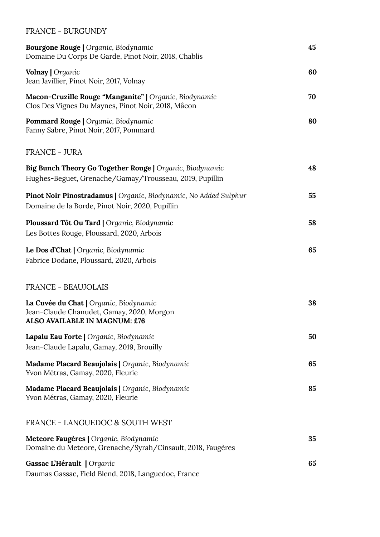#### FRANCE - BURGUNDY

| <b>Bourgone Rouge   Organic, Biodynamic</b><br>Domaine Du Corps De Garde, Pinot Noir, 2018, Chablis                        | 45 |
|----------------------------------------------------------------------------------------------------------------------------|----|
| Volnay   Organic<br>Jean Javillier, Pinot Noir, 2017, Volnay                                                               | 60 |
| Macon-Cruzille Rouge "Manganite"   Organic, Biodynamic<br>Clos Des Vignes Du Maynes, Pinot Noir, 2018, Mâcon               | 70 |
| Pommard Rouge   Organic, Biodynamic<br>Fanny Sabre, Pinot Noir, 2017, Pommard                                              | 80 |
| <b>FRANCE - JURA</b>                                                                                                       |    |
| <b>Big Bunch Theory Go Together Rouge   Organic, Biodynamic</b><br>Hughes-Beguet, Grenache/Gamay/Trousseau, 2019, Pupillin | 48 |
| Pinot Noir Pinostradamus   Organic, Biodynamic, No Added Sulphur<br>Domaine de la Borde, Pinot Noir, 2020, Pupillin        | 55 |
| Ploussard Tôt Ou Tard   Organic, Biodynamic<br>Les Bottes Rouge, Ploussard, 2020, Arbois                                   | 58 |
| Le Dos d'Chat   Organic, Biodynamic<br>Fabrice Dodane, Ploussard, 2020, Arbois                                             | 65 |
| <b>FRANCE - BEAUJOLAIS</b>                                                                                                 |    |
| La Cuvée du Chat   Organic, Biodynamic<br>Jean-Claude Chanudet, Gamay, 2020, Morgon<br>ALSO AVAILABLE IN MAGNUM: £76       | 38 |
| Lapalu Eau Forte   Organic, Biodynamic<br>Jean-Claude Lapalu, Gamay, 2019, Brouilly                                        | 50 |
| Madame Placard Beaujolais   Organic, Biodynamic<br>Yvon Métras, Gamay, 2020, Fleurie                                       | 65 |
| Madame Placard Beaujolais   Organic, Biodynamic<br>Yvon Métras, Gamay, 2020, Fleurie                                       | 85 |
| <b>FRANCE - LANGUEDOC &amp; SOUTH WEST</b>                                                                                 |    |
| Meteore Faugères   Organic, Biodynamic<br>Domaine du Meteore, Grenache/Syrah/Cinsault, 2018, Faugères                      | 35 |
| Gassac L'Hérault   Organic<br>Daumas Gassac, Field Blend, 2018, Languedoc, France                                          | 65 |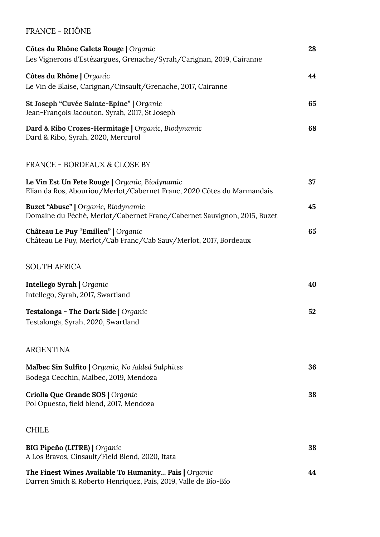#### FRANCE - RHÔNE

| Côtes du Rhône Galets Rouge   Organic<br>Les Vignerons d'Estézargues, Grenache/Syrah/Carignan, 2019, Cairanne            | 28 |
|--------------------------------------------------------------------------------------------------------------------------|----|
| Côtes du Rhône   Organic<br>Le Vin de Blaise, Carignan/Cinsault/Grenache, 2017, Cairanne                                 | 44 |
| St Joseph "Cuvée Sainte-Epine"   Organic<br>Jean-François Jacouton, Syrah, 2017, St Joseph                               | 65 |
| Dard & Ribo Crozes-Hermitage   Organic, Biodynamic<br>Dard & Ribo, Syrah, 2020, Mercurol                                 | 68 |
| <b>FRANCE - BORDEAUX &amp; CLOSE BY</b>                                                                                  |    |
| Le Vin Est Un Fete Rouge   Organic, Biodynamic<br>Elian da Ros, Abouriou/Merlot/Cabernet Franc, 2020 Côtes du Marmandais | 37 |
| <b>Buzet "Abuse"</b>   Organic, Biodynamic<br>Domaine du Péché, Merlot/Cabernet Franc/Cabernet Sauvignon, 2015, Buzet    | 45 |
| Château Le Puy "Emilien"   Organic<br>Château Le Puy, Merlot/Cab Franc/Cab Sauv/Merlot, 2017, Bordeaux                   | 65 |
| <b>SOUTH AFRICA</b>                                                                                                      |    |
| Intellego Syrah   Organic<br>Intellego, Syrah, 2017, Swartland                                                           | 40 |
| Testalonga - The Dark Side   Organic<br>Testalonga, Syrah, 2020, Swartland                                               | 52 |
| <b>ARGENTINA</b>                                                                                                         |    |
| Malbec Sin Sulfito   Organic, No Added Sulphites<br>Bodega Cecchin, Malbec, 2019, Mendoza                                | 36 |
| Criolla Que Grande SOS   Organic<br>Pol Opuesto, field blend, 2017, Mendoza                                              | 38 |
| <b>CHILE</b>                                                                                                             |    |
| <b>BIG Pipeño (LITRE)</b>   Organic<br>A Los Bravos, Cinsault/Field Blend, 2020, Itata                                   | 38 |
| The Finest Wines Available To Humanity Pais   Organic<br>Darren Smith & Roberto Henríquez, País, 2019, Valle de Bío-Bío  | 44 |